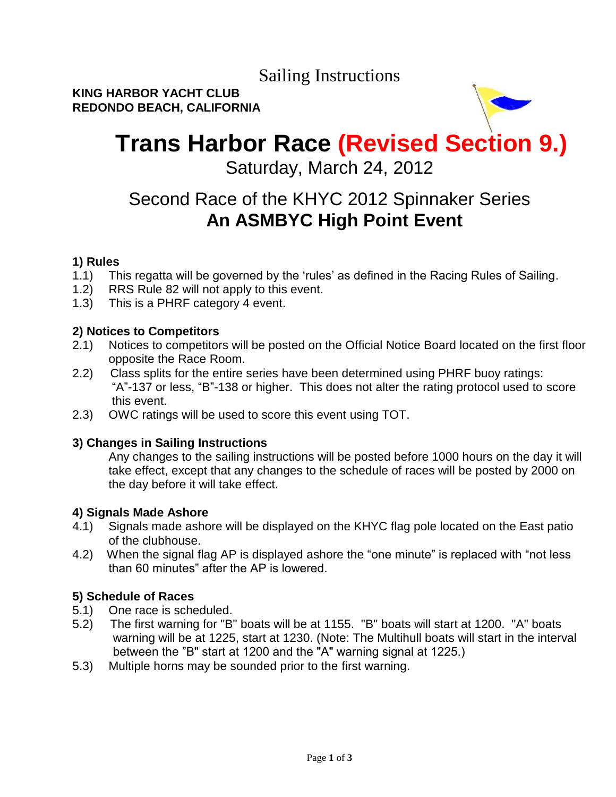Sailing Instructions

**KING HARBOR YACHT CLUB REDONDO BEACH, CALIFORNIA** 

# **Trans Harbor Race (Revised Section 9.)**

Saturday, March 24, 2012

# Second Race of the KHYC 2012 Spinnaker Series  **An ASMBYC High Point Event**

# **1) Rules**

- 1.1) This regatta will be governed by the 'rules' as defined in the Racing Rules of Sailing.
- 1.2) RRS Rule 82 will not apply to this event.
- 1.3) This is a PHRF category 4 event.

### **2) Notices to Competitors**

- 2.1) Notices to competitors will be posted on the Official Notice Board located on the first floor opposite the Race Room.
- 2.2) Class splits for the entire series have been determined using PHRF buoy ratings: "A"-137 or less, "B"-138 or higher. This does not alter the rating protocol used to score this event.
- 2.3) OWC ratings will be used to score this event using TOT.

### **3) Changes in Sailing Instructions**

Any changes to the sailing instructions will be posted before 1000 hours on the day it will take effect, except that any changes to the schedule of races will be posted by 2000 on the day before it will take effect.

#### **4) Signals Made Ashore**

- 4.1) Signals made ashore will be displayed on the KHYC flag pole located on the East patio of the clubhouse.
- 4.2) When the signal flag AP is displayed ashore the "one minute" is replaced with "not less than 60 minutes" after the AP is lowered.

### **5) Schedule of Races**

- 5.1) One race is scheduled.
- 5.2) The first warning for "B" boats will be at 1155. "B" boats will start at 1200. "A" boats warning will be at 1225, start at 1230. (Note: The Multihull boats will start in the interval between the "B" start at 1200 and the "A" warning signal at 1225.)
- 5.3) Multiple horns may be sounded prior to the first warning.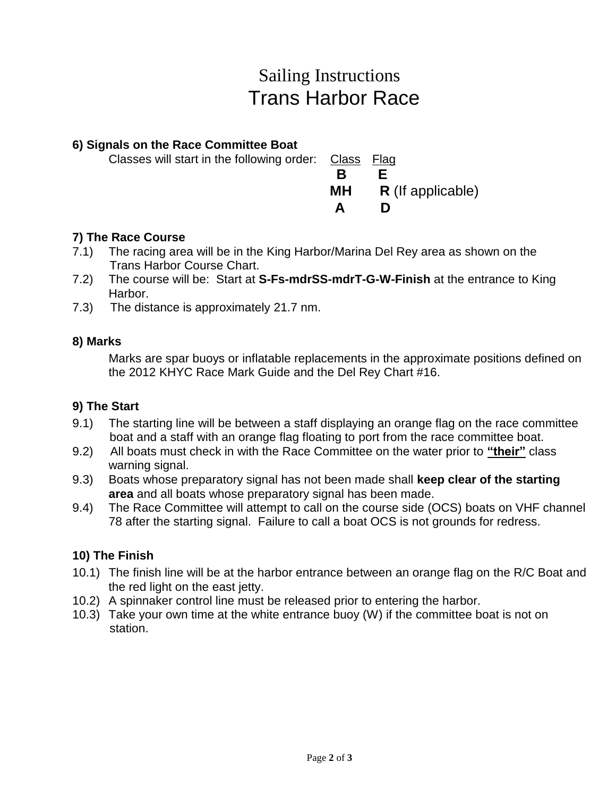# Sailing Instructions Trans Harbor Race

### **6) Signals on the Race Committee Boat**

| Classes will start in the following order: Class Flag |                        |
|-------------------------------------------------------|------------------------|
|                                                       |                        |
|                                                       | $MH$ R (If applicable) |
|                                                       |                        |

## **7) The Race Course**

- 7.1) The racing area will be in the King Harbor/Marina Del Rey area as shown on the Trans Harbor Course Chart.
- 7.2) The course will be: Start at **S-Fs-mdrSS-mdrT-G-W-Finish** at the entrance to King Harbor.
- 7.3) The distance is approximately 21.7 nm.

### **8) Marks**

Marks are spar buoys or inflatable replacements in the approximate positions defined on the 2012 KHYC Race Mark Guide and the Del Rey Chart #16.

### **9) The Start**

- 9.1) The starting line will be between a staff displaying an orange flag on the race committee boat and a staff with an orange flag floating to port from the race committee boat.
- 9.2) All boats must check in with the Race Committee on the water prior to **"their"** class warning signal.
- 9.3) Boats whose preparatory signal has not been made shall **keep clear of the starting area** and all boats whose preparatory signal has been made.
- 9.4) The Race Committee will attempt to call on the course side (OCS) boats on VHF channel 78 after the starting signal. Failure to call a boat OCS is not grounds for redress.

### **10) The Finish**

- 10.1) The finish line will be at the harbor entrance between an orange flag on the R/C Boat and the red light on the east jetty.
- 10.2) A spinnaker control line must be released prior to entering the harbor.
- 10.3) Take your own time at the white entrance buoy (W) if the committee boat is not on station.